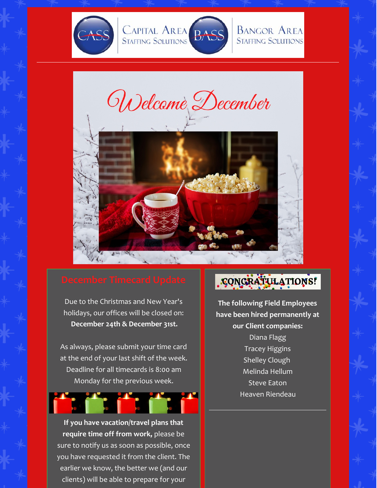



## **BANGOR AREA STAFFING SOLUTIONS**



Due to the Christmas and New Year's holidays, our offices will be closed on: **December 24th & December 31st.**

As always, please submit your time card at the end of your last shift of the week. Deadline for all timecards is 8:00 am Monday for the previous week.



**If you have vacation/travel plans that require time off from work,** please be sure to notify us as soon as possible, once you have requested it from the client. The earlier we know, the better we (and our clients) will be able to prepare for your

# CONGRATULATIONS!

**The following Field Employees have been hired permanently at our Client companies:** Diana Flagg Tracey Higgins Shelley Clough Melinda Hellum Steve Eaton Heaven Riendeau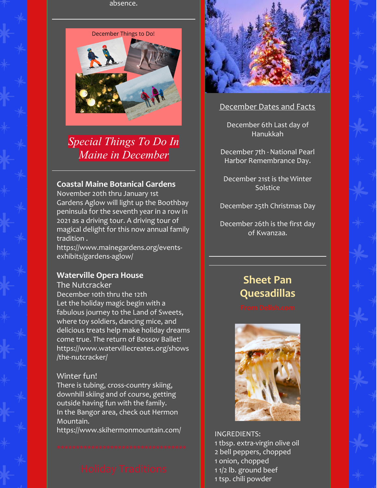absence.



# *Special Things To Do In Maine in December*

#### **Coastal Maine Botanical Gardens**

November 20th thru January 1st Gardens Aglow will light up the Boothbay peninsula for the seventh year in a row in 2021 as a driving tour. A driving tour of magical delight for this now annual family tradition .

https://www.mainegardens.org/eventsexhibits/gardens-aglow/

## **Waterville Opera House**

#### The Nutcracker

December 10th thru the 12th Let the holiday magic begin with a fabulous journey to the Land of Sweets, where toy soldiers, dancing mice, and delicious treats help make holiday dreams come true. The return of Bossov Ballet! https://www.watervillecreates.org/shows /the-nutcracker/

## Winter fun!

There is tubing, cross-country skiing, downhill skiing and of course, getting outside having fun with the family. In the Bangor area, check out Hermon Mountain.

https://www.skihermonmountain.com/



### December Dates and Facts

December 6th Last day of Hanukkah

December 7th -National Pearl Harbor [Remembrance](https://www.almanac.com/calendar/date/2021-12-7) Day.

December 21st is the Winter [Solstice](https://www.almanac.com/content/first-day-winter-winter-solstice)

December 25th Christmas Day

December 26th is the first day of [Kwanzaa](https://www.almanac.com/content/when-is-kwanzaa).

# **Sheet Pan Quesadillas**



INGREDIENTS: tbsp. extra-virgin olive oil bell peppers, chopped onion, chopped

- 1 1/2 lb. ground beef
- 1 tsp. chili powder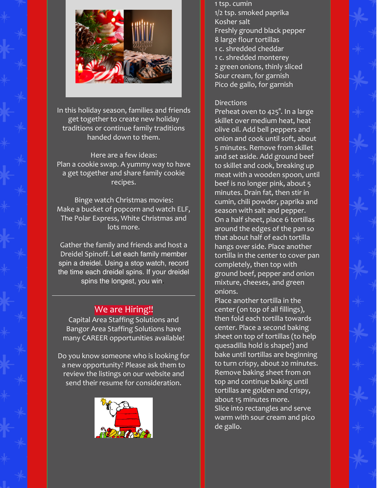

In this holiday season, families and friends get together to create new holiday traditions or continue family traditions handed down to them.

Here are a few ideas: Plan a cookie swap. A yummy way to have a get together and share family cookie recipes.

Binge watch Christmas movies: Make a bucket of popcorn and watch ELF, The Polar Express, White Christmas and lots more.

Gather the family and friends and host a Dreidel Spinoff. Let each family member spin a dreidel. Using a stop watch, record the time each dreidel spins. If your dreidel spins the longest, you win.

## We are Hiring!!

Capital Area Staffing Solutions and Bangor Area Staffing Solutions have many CAREER opportunities available!

Do you know someone who is looking for a new opportunity? Please ask them to review the listings on our website and send their resume for consideration.



1 tsp. cumin 1/2 tsp. smoked paprika Kosher salt Freshly ground black pepper 8 large flour tortillas 1 c. shredded cheddar 1 c. shredded monterey 2 green onions, thinly sliced Sour cream, for garnish Pico de gallo, for garnish

#### Directions

Preheat oven to 425°. In a large skillet over medium heat, heat olive oil. Add bell peppers and onion and cook until soft, about 5 minutes. Remove from skillet and set aside. Add ground beef to skillet and cook, breaking up meat with a wooden spoon, until beef is no longer pink, about 5 minutes. Drain fat, then stir in cumin, chili powder, paprika and season with salt and pepper. On a half sheet, place 6 tortillas around the edges of the pan so that about half of each tortilla hangs over side. Place another tortilla in the center to cover pan completely, then top with ground beef, pepper and onion mixture, cheeses, and green onions.

Place another tortilla in the center (on top of all fillings), then fold each tortilla towards center. Place a second baking sheet on top of tortillas (to help quesadilla hold is shape!) and bake until tortillas are beginning to turn crispy, about 20 minutes. Remove baking sheet from on top and continue baking until tortillas are golden and crispy, about 15 minutes more. Slice into rectangles and serve warm with sour cream and pico de gallo.